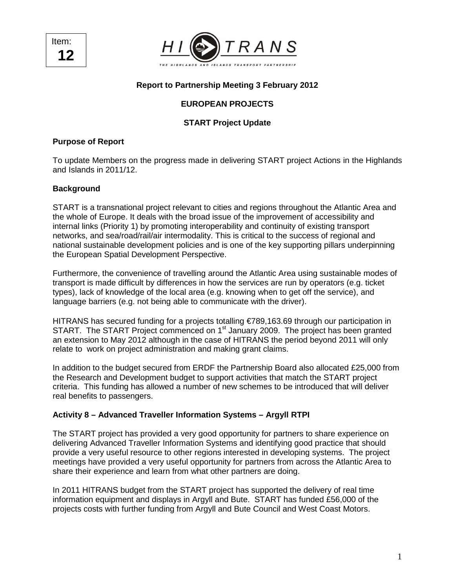Item: **12** 



### **Report to Partnership Meeting 3 February 2012**

# **EUROPEAN PROJECTS**

# **START Project Update**

#### **Purpose of Report**

To update Members on the progress made in delivering START project Actions in the Highlands and Islands in 2011/12.

### **Background**

START is a transnational project relevant to cities and regions throughout the Atlantic Area and the whole of Europe. It deals with the broad issue of the improvement of accessibility and internal links (Priority 1) by promoting interoperability and continuity of existing transport networks, and sea/road/rail/air intermodality. This is critical to the success of regional and national sustainable development policies and is one of the key supporting pillars underpinning the European Spatial Development Perspective.

Furthermore, the convenience of travelling around the Atlantic Area using sustainable modes of transport is made difficult by differences in how the services are run by operators (e.g. ticket types), lack of knowledge of the local area (e.g. knowing when to get off the service), and language barriers (e.g. not being able to communicate with the driver).

HITRANS has secured funding for a projects totalling €789,163.69 through our participation in START. The START Project commenced on 1<sup>st</sup> January 2009. The project has been granted an extension to May 2012 although in the case of HITRANS the period beyond 2011 will only relate to work on project administration and making grant claims.

In addition to the budget secured from ERDF the Partnership Board also allocated £25,000 from the Research and Development budget to support activities that match the START project criteria. This funding has allowed a number of new schemes to be introduced that will deliver real benefits to passengers.

### **Activity 8 – Advanced Traveller Information Systems – Argyll RTPI**

The START project has provided a very good opportunity for partners to share experience on delivering Advanced Traveller Information Systems and identifying good practice that should provide a very useful resource to other regions interested in developing systems. The project meetings have provided a very useful opportunity for partners from across the Atlantic Area to share their experience and learn from what other partners are doing.

In 2011 HITRANS budget from the START project has supported the delivery of real time information equipment and displays in Argyll and Bute. START has funded £56,000 of the projects costs with further funding from Argyll and Bute Council and West Coast Motors.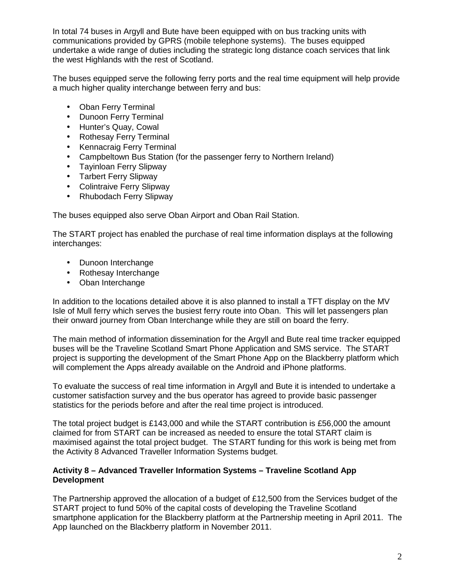In total 74 buses in Argyll and Bute have been equipped with on bus tracking units with communications provided by GPRS (mobile telephone systems). The buses equipped undertake a wide range of duties including the strategic long distance coach services that link the west Highlands with the rest of Scotland.

The buses equipped serve the following ferry ports and the real time equipment will help provide a much higher quality interchange between ferry and bus:

- Oban Ferry Terminal
- Dunoon Ferry Terminal
- Hunter's Quay, Cowal
- Rothesay Ferry Terminal
- Kennacraig Ferry Terminal
- Campbeltown Bus Station (for the passenger ferry to Northern Ireland)
- Tayinloan Ferry Slipway
- Tarbert Ferry Slipway
- Colintraive Ferry Slipway
- Rhubodach Ferry Slipway

The buses equipped also serve Oban Airport and Oban Rail Station.

The START project has enabled the purchase of real time information displays at the following interchanges:

- Dunoon Interchange
- Rothesay Interchange
- Oban Interchange

In addition to the locations detailed above it is also planned to install a TFT display on the MV Isle of Mull ferry which serves the busiest ferry route into Oban. This will let passengers plan their onward journey from Oban Interchange while they are still on board the ferry.

The main method of information dissemination for the Argyll and Bute real time tracker equipped buses will be the Traveline Scotland Smart Phone Application and SMS service. The START project is supporting the development of the Smart Phone App on the Blackberry platform which will complement the Apps already available on the Android and iPhone platforms.

To evaluate the success of real time information in Argyll and Bute it is intended to undertake a customer satisfaction survey and the bus operator has agreed to provide basic passenger statistics for the periods before and after the real time project is introduced.

The total project budget is £143,000 and while the START contribution is £56,000 the amount claimed for from START can be increased as needed to ensure the total START claim is maximised against the total project budget. The START funding for this work is being met from the Activity 8 Advanced Traveller Information Systems budget.

### **Activity 8 – Advanced Traveller Information Systems – Traveline Scotland App Development**

The Partnership approved the allocation of a budget of £12,500 from the Services budget of the START project to fund 50% of the capital costs of developing the Traveline Scotland smartphone application for the Blackberry platform at the Partnership meeting in April 2011. The App launched on the Blackberry platform in November 2011.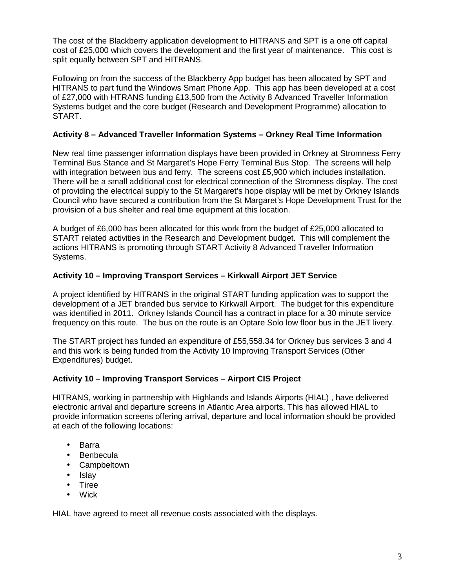The cost of the Blackberry application development to HITRANS and SPT is a one off capital cost of £25,000 which covers the development and the first year of maintenance. This cost is split equally between SPT and HITRANS.

Following on from the success of the Blackberry App budget has been allocated by SPT and HITRANS to part fund the Windows Smart Phone App. This app has been developed at a cost of £27,000 with HTRANS funding £13,500 from the Activity 8 Advanced Traveller Information Systems budget and the core budget (Research and Development Programme) allocation to START.

### **Activity 8 – Advanced Traveller Information Systems – Orkney Real Time Information**

New real time passenger information displays have been provided in Orkney at Stromness Ferry Terminal Bus Stance and St Margaret's Hope Ferry Terminal Bus Stop. The screens will help with integration between bus and ferry. The screens cost £5,900 which includes installation. There will be a small additional cost for electrical connection of the Stromness display. The cost of providing the electrical supply to the St Margaret's hope display will be met by Orkney Islands Council who have secured a contribution from the St Margaret's Hope Development Trust for the provision of a bus shelter and real time equipment at this location.

A budget of £6,000 has been allocated for this work from the budget of £25,000 allocated to START related activities in the Research and Development budget. This will complement the actions HITRANS is promoting through START Activity 8 Advanced Traveller Information Systems.

### **Activity 10 – Improving Transport Services – Kirkwall Airport JET Service**

A project identified by HITRANS in the original START funding application was to support the development of a JET branded bus service to Kirkwall Airport. The budget for this expenditure was identified in 2011. Orkney Islands Council has a contract in place for a 30 minute service frequency on this route. The bus on the route is an Optare Solo low floor bus in the JET livery.

The START project has funded an expenditure of £55,558.34 for Orkney bus services 3 and 4 and this work is being funded from the Activity 10 Improving Transport Services (Other Expenditures) budget.

### **Activity 10 – Improving Transport Services – Airport CIS Project**

HITRANS, working in partnership with Highlands and Islands Airports (HIAL) , have delivered electronic arrival and departure screens in Atlantic Area airports. This has allowed HIAL to provide information screens offering arrival, departure and local information should be provided at each of the following locations:

- Barra
- Benbecula
- Campbeltown
- Islay
- Tiree
- Wick

HIAL have agreed to meet all revenue costs associated with the displays.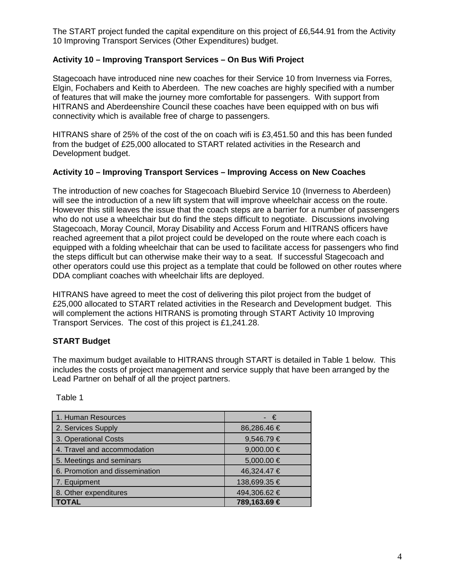The START project funded the capital expenditure on this project of £6,544.91 from the Activity 10 Improving Transport Services (Other Expenditures) budget.

# **Activity 10 – Improving Transport Services – On Bus Wifi Project**

Stagecoach have introduced nine new coaches for their Service 10 from Inverness via Forres, Elgin, Fochabers and Keith to Aberdeen. The new coaches are highly specified with a number of features that will make the journey more comfortable for passengers. With support from HITRANS and Aberdeenshire Council these coaches have been equipped with on bus wifi connectivity which is available free of charge to passengers.

HITRANS share of 25% of the cost of the on coach wifi is £3,451.50 and this has been funded from the budget of £25,000 allocated to START related activities in the Research and Development budget.

### **Activity 10 – Improving Transport Services – Improving Access on New Coaches**

The introduction of new coaches for Stagecoach Bluebird Service 10 (Inverness to Aberdeen) will see the introduction of a new lift system that will improve wheelchair access on the route. However this still leaves the issue that the coach steps are a barrier for a number of passengers who do not use a wheelchair but do find the steps difficult to negotiate. Discussions involving Stagecoach, Moray Council, Moray Disability and Access Forum and HITRANS officers have reached agreement that a pilot project could be developed on the route where each coach is equipped with a folding wheelchair that can be used to facilitate access for passengers who find the steps difficult but can otherwise make their way to a seat. If successful Stagecoach and other operators could use this project as a template that could be followed on other routes where DDA compliant coaches with wheelchair lifts are deployed.

HITRANS have agreed to meet the cost of delivering this pilot project from the budget of £25,000 allocated to START related activities in the Research and Development budget. This will complement the actions HITRANS is promoting through START Activity 10 Improving Transport Services. The cost of this project is £1,241.28.

# **START Budget**

The maximum budget available to HITRANS through START is detailed in Table 1 below. This includes the costs of project management and service supply that have been arranged by the Lead Partner on behalf of all the project partners.

Table 1

| 1. Human Resources                    | - €            |
|---------------------------------------|----------------|
| 2. Services Supply                    | 86,286.46 €    |
| 3. Operational Costs                  | 9,546.79€      |
| 4. Travel and accommodation           | $9,000.00 \in$ |
| 5. Meetings and seminars              | 5,000.00 €     |
| 6. Promotion and dissemination        | 46,324.47 €    |
| 7. Equipment                          | 138,699.35 €   |
| 8. Other expenditures<br>494,306.62 € |                |
| TOTAL                                 | 789,163.69 €   |